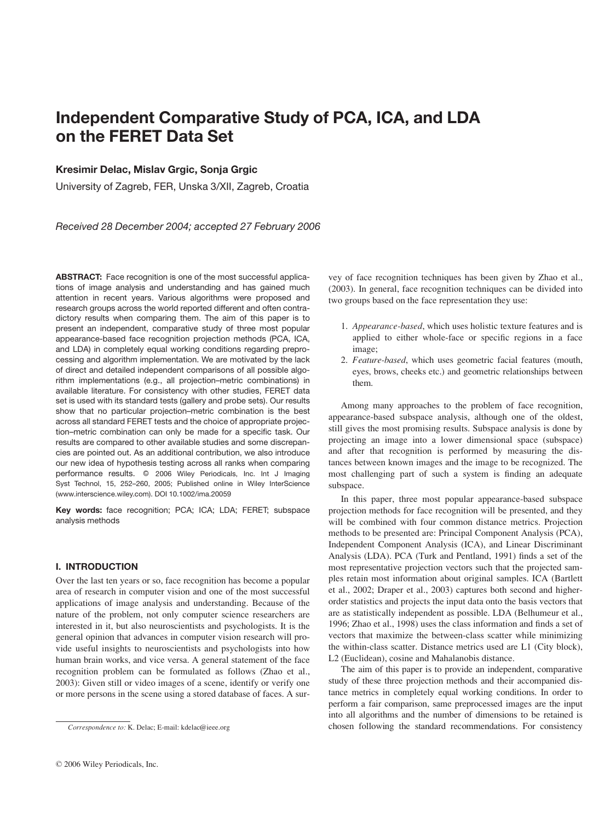# Independent Comparative Study of PCA, ICA, and LDA on the FERET Data Set

## Kresimir Delac, Mislav Grgic, Sonja Grgic

University of Zagreb, FER, Unska 3/XII, Zagreb, Croatia

Received 28 December 2004; accepted 27 February 2006

ABSTRACT: Face recognition is one of the most successful applications of image analysis and understanding and has gained much attention in recent years. Various algorithms were proposed and research groups across the world reported different and often contradictory results when comparing them. The aim of this paper is to present an independent, comparative study of three most popular appearance-based face recognition projection methods (PCA, ICA, and LDA) in completely equal working conditions regarding preprocessing and algorithm implementation. We are motivated by the lack of direct and detailed independent comparisons of all possible algorithm implementations (e.g., all projection–metric combinations) in available literature. For consistency with other studies, FERET data set is used with its standard tests (gallery and probe sets). Our results show that no particular projection–metric combination is the best across all standard FERET tests and the choice of appropriate projection–metric combination can only be made for a specific task. Our results are compared to other available studies and some discrepancies are pointed out. As an additional contribution, we also introduce our new idea of hypothesis testing across all ranks when comparing performance results. @ 2006 Wiley Periodicals, Inc. Int J Imaging Syst Technol, 15, 252–260, 2005; Published online in Wiley InterScience (www.interscience.wiley.com). DOI 10.1002/ima.20059

Key words: face recognition; PCA; ICA; LDA; FERET; subspace analysis methods

## I. INTRODUCTION

Over the last ten years or so, face recognition has become a popular area of research in computer vision and one of the most successful applications of image analysis and understanding. Because of the nature of the problem, not only computer science researchers are interested in it, but also neuroscientists and psychologists. It is the general opinion that advances in computer vision research will provide useful insights to neuroscientists and psychologists into how human brain works, and vice versa. A general statement of the face recognition problem can be formulated as follows (Zhao et al., 2003): Given still or video images of a scene, identify or verify one or more persons in the scene using a stored database of faces. A sur-

© 2006 Wiley Periodicals, Inc.

vey of face recognition techniques has been given by Zhao et al., (2003). In general, face recognition techniques can be divided into two groups based on the face representation they use:

- 1. Appearance-based, which uses holistic texture features and is applied to either whole-face or specific regions in a face image;
- 2. Feature-based, which uses geometric facial features (mouth, eyes, brows, cheeks etc.) and geometric relationships between them.

Among many approaches to the problem of face recognition, appearance-based subspace analysis, although one of the oldest, still gives the most promising results. Subspace analysis is done by projecting an image into a lower dimensional space (subspace) and after that recognition is performed by measuring the distances between known images and the image to be recognized. The most challenging part of such a system is finding an adequate subspace.

In this paper, three most popular appearance-based subspace projection methods for face recognition will be presented, and they will be combined with four common distance metrics. Projection methods to be presented are: Principal Component Analysis (PCA), Independent Component Analysis (ICA), and Linear Discriminant Analysis (LDA). PCA (Turk and Pentland, 1991) finds a set of the most representative projection vectors such that the projected samples retain most information about original samples. ICA (Bartlett et al., 2002; Draper et al., 2003) captures both second and higherorder statistics and projects the input data onto the basis vectors that are as statistically independent as possible. LDA (Belhumeur et al., 1996; Zhao et al., 1998) uses the class information and finds a set of vectors that maximize the between-class scatter while minimizing the within-class scatter. Distance metrics used are L1 (City block), L2 (Euclidean), cosine and Mahalanobis distance.

The aim of this paper is to provide an independent, comparative study of these three projection methods and their accompanied distance metrics in completely equal working conditions. In order to perform a fair comparison, same preprocessed images are the input into all algorithms and the number of dimensions to be retained is Correspondence to: K. Delac; E-mail: kdelac@ieee.org chosen following the standard recommendations. For consistency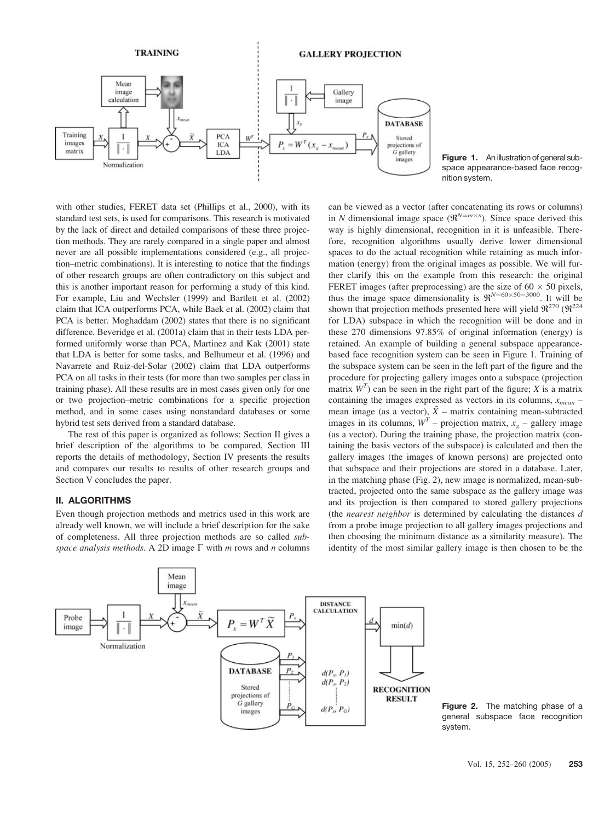

Figure 1. An illustration of general subspace appearance-based face recognition system.

with other studies, FERET data set (Phillips et al., 2000), with its standard test sets, is used for comparisons. This research is motivated by the lack of direct and detailed comparisons of these three projection methods. They are rarely compared in a single paper and almost never are all possible implementations considered (e.g., all projection–metric combinations). It is interesting to notice that the findings of other research groups are often contradictory on this subject and this is another important reason for performing a study of this kind. For example, Liu and Wechsler (1999) and Bartlett et al. (2002) claim that ICA outperforms PCA, while Baek et al. (2002) claim that PCA is better. Moghaddam (2002) states that there is no significant difference. Beveridge et al. (2001a) claim that in their tests LDA performed uniformly worse than PCA, Martinez and Kak (2001) state that LDA is better for some tasks, and Belhumeur et al. (1996) and Navarrete and Ruiz-del-Solar (2002) claim that LDA outperforms PCA on all tasks in their tests (for more than two samples per class in training phase). All these results are in most cases given only for one or two projection–metric combinations for a specific projection method, and in some cases using nonstandard databases or some hybrid test sets derived from a standard database.

The rest of this paper is organized as follows: Section II gives a brief description of the algorithms to be compared, Section III reports the details of methodology, Section IV presents the results and compares our results to results of other research groups and Section V concludes the paper.

## II. ALGORITHMS

Even though projection methods and metrics used in this work are already well known, we will include a brief description for the sake of completeness. All three projection methods are so called subspace analysis methods. A 2D image  $\Gamma$  with m rows and n columns can be viewed as a vector (after concatenating its rows or columns) in N dimensional image space  $(\mathfrak{R}^{N=m\times n})$ . Since space derived this way is highly dimensional, recognition in it is unfeasible. Therefore, recognition algorithms usually derive lower dimensional spaces to do the actual recognition while retaining as much information (energy) from the original images as possible. We will further clarify this on the example from this research: the original FERET images (after preprocessing) are the size of  $60 \times 50$  pixels, thus the image space dimensionality is  $\mathfrak{R}^{N=60\times50=3000}$ . It will be shown that projection methods presented here will yield  $\mathfrak{R}^{270}$  ( $\mathfrak{R}^{224}$ ) for LDA) subspace in which the recognition will be done and in these 270 dimensions 97.85% of original information (energy) is retained. An example of building a general subspace appearancebased face recognition system can be seen in Figure 1. Training of the subspace system can be seen in the left part of the figure and the procedure for projecting gallery images onto a subspace (projection matrix  $W<sup>T</sup>$ ) can be seen in the right part of the figure; X is a matrix containing the images expressed as vectors in its columns,  $x_{mean}$  – mean image (as a vector),  $\tilde{X}$  – matrix containing mean-subtracted images in its columns,  $W<sup>T</sup>$  – projection matrix,  $x<sub>g</sub>$  – gallery image (as a vector). During the training phase, the projection matrix (containing the basis vectors of the subspace) is calculated and then the gallery images (the images of known persons) are projected onto that subspace and their projections are stored in a database. Later, in the matching phase (Fig. 2), new image is normalized, mean-subtracted, projected onto the same subspace as the gallery image was and its projection is then compared to stored gallery projections (the nearest neighbor is determined by calculating the distances  $d$ from a probe image projection to all gallery images projections and then choosing the minimum distance as a similarity measure). The identity of the most similar gallery image is then chosen to be the



Figure 2. The matching phase of a general subspace face recognition system.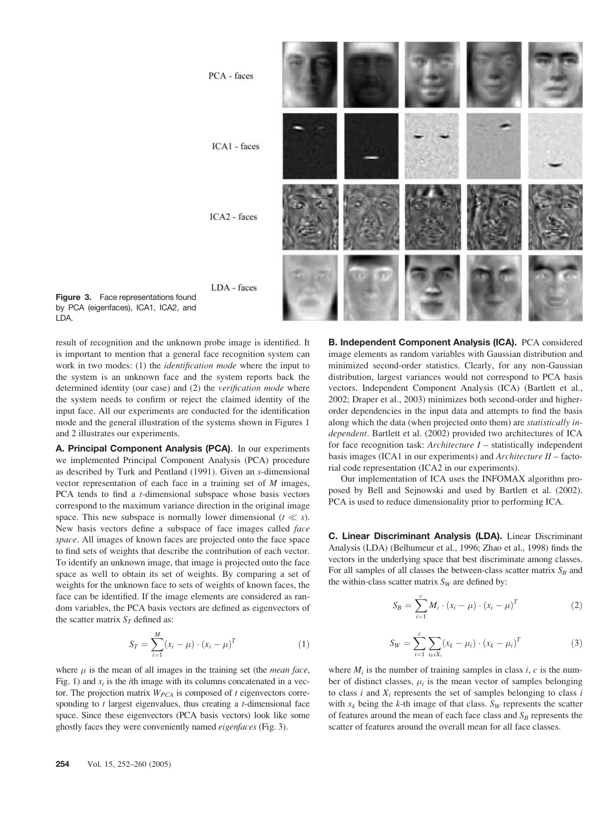



result of recognition and the unknown probe image is identified. It is important to mention that a general face recognition system can work in two modes: (1) the identification mode where the input to the system is an unknown face and the system reports back the determined identity (our case) and (2) the verification mode where the system needs to confirm or reject the claimed identity of the input face. All our experiments are conducted for the identification mode and the general illustration of the systems shown in Figures 1 and 2 illustrates our experiments.

A. Principal Component Analysis (PCA). In our experiments we implemented Principal Component Analysis (PCA) procedure as described by Turk and Pentland (1991). Given an s-dimensional vector representation of each face in a training set of M images, PCA tends to find a *t*-dimensional subspace whose basis vectors correspond to the maximum variance direction in the original image space. This new subspace is normally lower dimensional  $(t \ll s)$ . New basis vectors define a subspace of face images called face space. All images of known faces are projected onto the face space to find sets of weights that describe the contribution of each vector. To identify an unknown image, that image is projected onto the face space as well to obtain its set of weights. By comparing a set of weights for the unknown face to sets of weights of known faces, the face can be identified. If the image elements are considered as random variables, the PCA basis vectors are defined as eigenvectors of the scatter matrix  $S_T$  defined as:

$$
S_T = \sum_{i=1}^{M} (x_i - \mu) \cdot (x_i - \mu)^T
$$
 (1)

where  $\mu$  is the mean of all images in the training set (the *mean face*, Fig. 1) and  $x_i$  is the *i*th image with its columns concatenated in a vector. The projection matrix  $W_{PCA}$  is composed of t eigenvectors corresponding to  $t$  largest eigenvalues, thus creating a  $t$ -dimensional face space. Since these eigenvectors (PCA basis vectors) look like some ghostly faces they were conveniently named eigenfaces (Fig. 3).

B. Independent Component Analysis (ICA). PCA considered image elements as random variables with Gaussian distribution and minimized second-order statistics. Clearly, for any non-Gaussian distribution, largest variances would not correspond to PCA basis vectors. Independent Component Analysis (ICA) (Bartlett et al., 2002; Draper et al., 2003) minimizes both second-order and higherorder dependencies in the input data and attempts to find the basis along which the data (when projected onto them) are statistically independent. Bartlett et al. (2002) provided two architectures of ICA for face recognition task:  $Architecture I - statistically independent$ basis images (ICA1 in our experiments) and Architecture II – factorial code representation (ICA2 in our experiments).

Our implementation of ICA uses the INFOMAX algorithm proposed by Bell and Sejnowski and used by Bartlett et al. (2002). PCA is used to reduce dimensionality prior to performing ICA.

C. Linear Discriminant Analysis (LDA). Linear Discriminant Analysis (LDA) (Belhumeur et al., 1996; Zhao et al., 1998) finds the vectors in the underlying space that best discriminate among classes. For all samples of all classes the between-class scatter matrix  $S_B$  and the within-class scatter matrix  $S_W$  are defined by:

$$
S_B = \sum_{i=1}^{c} M_i \cdot (x_i - \mu) \cdot (x_i - \mu)^T
$$
 (2)

$$
S_W = \sum_{i=1}^{c} \sum_{x_k \in X_i} (x_k - \mu_i) \cdot (x_k - \mu_i)^T
$$
 (3)

where  $M_i$  is the number of training samples in class i, c is the number of distinct classes,  $\mu_i$  is the mean vector of samples belonging to class i and  $X_i$  represents the set of samples belonging to class i with  $x_k$  being the k-th image of that class.  $S_W$  represents the scatter of features around the mean of each face class and  $S_B$  represents the scatter of features around the overall mean for all face classes.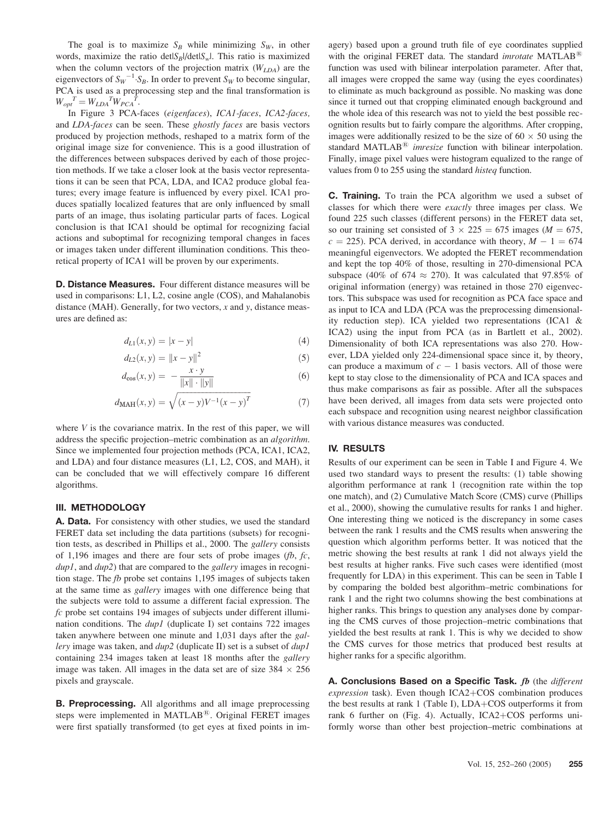The goal is to maximize  $S_B$  while minimizing  $S_W$ , in other words, maximize the ratio det $|S_B|$ /det $|S_w|$ . This ratio is maximized when the column vectors of the projection matrix  $(W<sub>LDA</sub>)$  are the eigenvectors of  $S_W^{-1} \cdot S_B$ . In order to prevent  $S_W$  to become singular, PCA is used as a preprocessing step and the final transformation is  $W_{opt}^T = W_{LDA}^T W_{PCA}^T$ .

In Figure 3 PCA-faces (eigenfaces), ICA1-faces, ICA2-faces, and LDA-faces can be seen. These ghostly faces are basis vectors produced by projection methods, reshaped to a matrix form of the original image size for convenience. This is a good illustration of the differences between subspaces derived by each of those projection methods. If we take a closer look at the basis vector representations it can be seen that PCA, LDA, and ICA2 produce global features; every image feature is influenced by every pixel. ICA1 produces spatially localized features that are only influenced by small parts of an image, thus isolating particular parts of faces. Logical conclusion is that ICA1 should be optimal for recognizing facial actions and suboptimal for recognizing temporal changes in faces or images taken under different illumination conditions. This theoretical property of ICA1 will be proven by our experiments.

D. Distance Measures. Four different distance measures will be used in comparisons: L1, L2, cosine angle (COS), and Mahalanobis distance (MAH). Generally, for two vectors,  $x$  and  $y$ , distance measures are defined as:

$$
d_{L1}(x, y) = |x - y| \tag{4}
$$

$$
d_{L2}(x, y) = ||x - y||^2
$$
 (5)

$$
d_{\cos}(x, y) = -\frac{x \cdot y}{\|x\| \cdot \|y\|} \tag{6}
$$

$$
d_{\text{MAH}}(x, y) = \sqrt{(x - y)V^{-1}(x - y)^{T}}
$$
 (7)

where  $V$  is the covariance matrix. In the rest of this paper, we will address the specific projection–metric combination as an algorithm. Since we implemented four projection methods (PCA, ICA1, ICA2, and LDA) and four distance measures (L1, L2, COS, and MAH), it can be concluded that we will effectively compare 16 different algorithms.

## III. METHODOLOGY

A. Data. For consistency with other studies, we used the standard FERET data set including the data partitions (subsets) for recognition tests, as described in Phillips et al., 2000. The gallery consists of 1,196 images and there are four sets of probe images ( $fb$ ,  $fc$ ,  $dup1$ , and  $dup2$ ) that are compared to the *gallery* images in recognition stage. The fb probe set contains 1,195 images of subjects taken at the same time as gallery images with one difference being that the subjects were told to assume a different facial expression. The fc probe set contains 194 images of subjects under different illumination conditions. The *dup1* (duplicate I) set contains 722 images taken anywhere between one minute and 1,031 days after the *gal*lery image was taken, and  $dup2$  (duplicate II) set is a subset of  $dup1$ containing 234 images taken at least 18 months after the gallery image was taken. All images in the data set are of size  $384 \times 256$ pixels and grayscale.

**B. Preprocessing.** All algorithms and all image preprocessing steps were implemented in MATLAB $^{(8)}$ . Original FERET images were first spatially transformed (to get eyes at fixed points in imagery) based upon a ground truth file of eye coordinates supplied with the original FERET data. The standard *imrotate* MATLAB<sup>®</sup> function was used with bilinear interpolation parameter. After that, all images were cropped the same way (using the eyes coordinates) to eliminate as much background as possible. No masking was done since it turned out that cropping eliminated enough background and the whole idea of this research was not to yield the best possible recognition results but to fairly compare the algorithms. After cropping, images were additionally resized to be the size of  $60 \times 50$  using the standard MATLAB $^{\circledR}$  imresize function with bilinear interpolation. Finally, image pixel values were histogram equalized to the range of values from 0 to 255 using the standard histeq function.

C. Training. To train the PCA algorithm we used a subset of classes for which there were exactly three images per class. We found 225 such classes (different persons) in the FERET data set, so our training set consisted of  $3 \times 225 = 675$  images ( $M = 675$ ,  $c = 225$ ). PCA derived, in accordance with theory,  $M - 1 = 674$ meaningful eigenvectors. We adopted the FERET recommendation and kept the top 40% of those, resulting in 270-dimensional PCA subspace (40% of 674  $\approx$  270). It was calculated that 97.85% of original information (energy) was retained in those 270 eigenvectors. This subspace was used for recognition as PCA face space and as input to ICA and LDA (PCA was the preprocessing dimensionality reduction step). ICA yielded two representations (ICA1 & ICA2) using the input from PCA (as in Bartlett et al., 2002). Dimensionality of both ICA representations was also 270. However, LDA yielded only 224-dimensional space since it, by theory, can produce a maximum of  $c - 1$  basis vectors. All of those were kept to stay close to the dimensionality of PCA and ICA spaces and thus make comparisons as fair as possible. After all the subspaces have been derived, all images from data sets were projected onto each subspace and recognition using nearest neighbor classification with various distance measures was conducted.

## IV. RESULTS

Results of our experiment can be seen in Table I and Figure 4. We used two standard ways to present the results: (1) table showing algorithm performance at rank 1 (recognition rate within the top one match), and (2) Cumulative Match Score (CMS) curve (Phillips et al., 2000), showing the cumulative results for ranks 1 and higher. One interesting thing we noticed is the discrepancy in some cases between the rank 1 results and the CMS results when answering the question which algorithm performs better. It was noticed that the metric showing the best results at rank 1 did not always yield the best results at higher ranks. Five such cases were identified (most frequently for LDA) in this experiment. This can be seen in Table I by comparing the bolded best algorithm–metric combinations for rank 1 and the right two columns showing the best combinations at higher ranks. This brings to question any analyses done by comparing the CMS curves of those projection–metric combinations that yielded the best results at rank 1. This is why we decided to show the CMS curves for those metrics that produced best results at higher ranks for a specific algorithm.

A. Conclusions Based on a Specific Task. fb (the different expression task). Even though  $ICA2+COS$  combination produces the best results at rank  $1$  (Table I), LDA+COS outperforms it from rank 6 further on (Fig. 4). Actually,  $ICA2+COS$  performs uniformly worse than other best projection–metric combinations at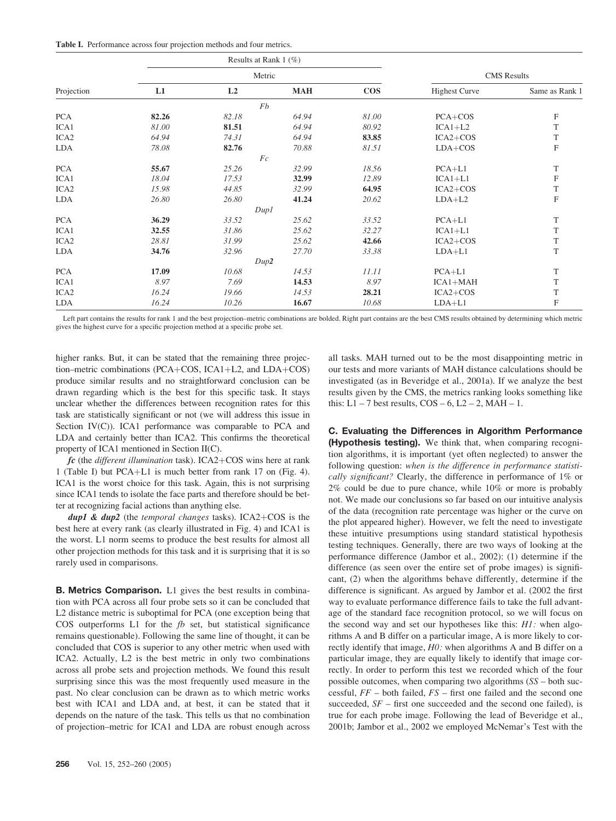Table I. Performance across four projection methods and four metrics.

| Projection       | Results at Rank $1$ (%)<br>Metric |       |            |        |                      |                           |
|------------------|-----------------------------------|-------|------------|--------|----------------------|---------------------------|
|                  |                                   |       |            |        | <b>CMS</b> Results   |                           |
|                  | L1                                | L2    | <b>MAH</b> | $\cos$ | <b>Highest Curve</b> | Same as Rank 1            |
|                  | Fb                                |       |            |        |                      |                           |
| <b>PCA</b>       | 82.26                             | 82.18 | 64.94      | 81.00  | $PCA + COS$          | F                         |
| ICA1             | 81.00                             | 81.51 | 64.94      | 80.92  | $ICA1+L2$            | T                         |
| ICA <sub>2</sub> | 64.94                             | 74.31 | 64.94      | 83.85  | $ICA2+COS$           | T                         |
| LDA              | 78.08                             | 82.76 | 70.88      | 81.51  | $LDA+COS$            | ${\bf F}$                 |
|                  | Fc                                |       |            |        |                      |                           |
| <b>PCA</b>       | 55.67                             | 25.26 | 32.99      | 18.56  | $PCA+L1$             | $\mathbf T$               |
| ICA1             | 18.04                             | 17.53 | 32.99      | 12.89  | $ICA1+L1$            | F                         |
| ICA <sub>2</sub> | 15.98                             | 44.85 | 32.99      | 64.95  | $ICA2+COS$           | $\mathbf T$               |
| <b>LDA</b>       | 26.80                             | 26.80 | 41.24      | 20.62  | $LDA+L2$             | $\boldsymbol{\mathrm{F}}$ |
|                  |                                   | Dup1  |            |        |                      |                           |
| <b>PCA</b>       | 36.29                             | 33.52 | 25.62      | 33.52  | $PCA+L1$             | T                         |
| ICA1             | 32.55                             | 31.86 | 25.62      | 32.27  | $ICA1+L1$            | T                         |
| ICA <sub>2</sub> | 28.81                             | 31.99 | 25.62      | 42.66  | $ICA2+COS$           | T                         |
| LDA              | 34.76                             | 32.96 | 27.70      | 33.38  | $LDA+L1$             | T                         |
|                  | Dup2                              |       |            |        |                      |                           |
| <b>PCA</b>       | 17.09                             | 10.68 | 14.53      | 11.11  | $PCA+L1$             | T                         |
| ICA1             | 8.97                              | 7.69  | 14.53      | 8.97   | $ICA1+MAH$           | T                         |
| ICA <sub>2</sub> | 16.24                             | 19.66 | 14.53      | 28.21  | $ICA2+COS$           | T                         |
| LDA              | 16.24                             | 10.26 | 16.67      | 10.68  | $LDA+L1$             | F                         |

Left part contains the results for rank 1 and the best projection–metric combinations are bolded. Right part contains are the best CMS results obtained by determining which metric gives the highest curve for a specific projection method at a specific probe set.

higher ranks. But, it can be stated that the remaining three projection–metric combinations (PCA+COS, ICA1+L2, and  $LDA+COS$ ) produce similar results and no straightforward conclusion can be drawn regarding which is the best for this specific task. It stays unclear whether the differences between recognition rates for this task are statistically significant or not (we will address this issue in Section IV(C)). ICA1 performance was comparable to PCA and LDA and certainly better than ICA2. This confirms the theoretical property of ICA1 mentioned in Section II(C).

 $\mathit{fc}$  (the *different illumination* task). ICA2+COS wins here at rank 1 (Table I) but PCA+L1 is much better from rank 17 on (Fig. 4). ICA1 is the worst choice for this task. Again, this is not surprising since ICA1 tends to isolate the face parts and therefore should be better at recognizing facial actions than anything else.

dup1 & dup2 (the temporal changes tasks). ICA2+COS is the best here at every rank (as clearly illustrated in Fig. 4) and ICA1 is the worst. L1 norm seems to produce the best results for almost all other projection methods for this task and it is surprising that it is so rarely used in comparisons.

B. Metrics Comparison. L1 gives the best results in combination with PCA across all four probe sets so it can be concluded that L2 distance metric is suboptimal for PCA (one exception being that COS outperforms  $L1$  for the  $fb$  set, but statistical significance remains questionable). Following the same line of thought, it can be concluded that COS is superior to any other metric when used with ICA2. Actually, L2 is the best metric in only two combinations across all probe sets and projection methods. We found this result surprising since this was the most frequently used measure in the past. No clear conclusion can be drawn as to which metric works best with ICA1 and LDA and, at best, it can be stated that it depends on the nature of the task. This tells us that no combination of projection–metric for ICA1 and LDA are robust enough across all tasks. MAH turned out to be the most disappointing metric in our tests and more variants of MAH distance calculations should be investigated (as in Beveridge et al., 2001a). If we analyze the best results given by the CMS, the metrics ranking looks something like this:  $L1 - 7$  best results,  $COS - 6$ ,  $L2 - 2$ , MAH  $- 1$ .

C. Evaluating the Differences in Algorithm Performance (Hypothesis testing). We think that, when comparing recognition algorithms, it is important (yet often neglected) to answer the following question: when is the difference in performance statistically significant? Clearly, the difference in performance of 1% or 2% could be due to pure chance, while 10% or more is probably not. We made our conclusions so far based on our intuitive analysis of the data (recognition rate percentage was higher or the curve on the plot appeared higher). However, we felt the need to investigate these intuitive presumptions using standard statistical hypothesis testing techniques. Generally, there are two ways of looking at the performance difference (Jambor et al., 2002): (1) determine if the difference (as seen over the entire set of probe images) is significant, (2) when the algorithms behave differently, determine if the difference is significant. As argued by Jambor et al. (2002 the first way to evaluate performance difference fails to take the full advantage of the standard face recognition protocol, so we will focus on the second way and set our hypotheses like this: H1: when algorithms A and B differ on a particular image, A is more likely to correctly identify that image, H0: when algorithms A and B differ on a particular image, they are equally likely to identify that image correctly. In order to perform this test we recorded which of the four possible outcomes, when comparing two algorithms (SS – both successful,  $FF$  – both failed,  $FS$  – first one failed and the second one succeeded,  $SF - first$  one succeeded and the second one failed), is true for each probe image. Following the lead of Beveridge et al., 2001b; Jambor et al., 2002 we employed McNemar's Test with the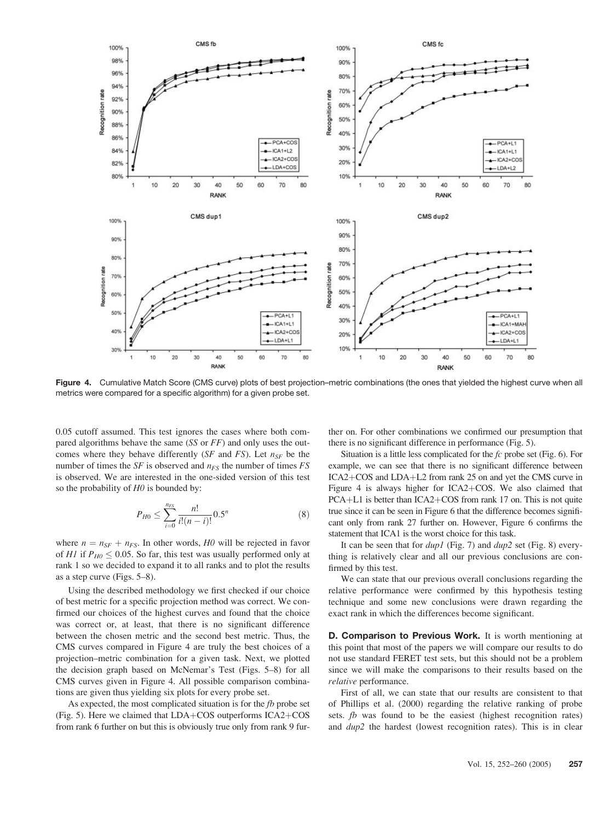

Figure 4. Cumulative Match Score (CMS curve) plots of best projection–metric combinations (the ones that yielded the highest curve when all metrics were compared for a specific algorithm) for a given probe set.

0.05 cutoff assumed. This test ignores the cases where both compared algorithms behave the same (SS or FF) and only uses the outcomes where they behave differently (SF and FS). Let  $n_{SE}$  be the number of times the SF is observed and  $n_{FS}$  the number of times FS is observed. We are interested in the one-sided version of this test so the probability of  $H0$  is bounded by:

$$
P_{H0} \le \sum_{i=0}^{n_{FS}} \frac{n!}{i!(n-i)!} 0.5^n \tag{8}
$$

where  $n = n_{SF} + n_{FS}$ . In other words, H0 will be rejected in favor of H1 if  $P_{H0} \le 0.05$ . So far, this test was usually performed only at rank 1 so we decided to expand it to all ranks and to plot the results as a step curve (Figs. 5–8).

Using the described methodology we first checked if our choice of best metric for a specific projection method was correct. We confirmed our choices of the highest curves and found that the choice was correct or, at least, that there is no significant difference between the chosen metric and the second best metric. Thus, the CMS curves compared in Figure 4 are truly the best choices of a projection–metric combination for a given task. Next, we plotted the decision graph based on McNemar's Test (Figs. 5–8) for all CMS curves given in Figure 4. All possible comparison combinations are given thus yielding six plots for every probe set.

As expected, the most complicated situation is for the  $fb$  probe set (Fig. 5). Here we claimed that  $LDA+COS$  outperforms  $ICA2+COS$ from rank 6 further on but this is obviously true only from rank 9 further on. For other combinations we confirmed our presumption that there is no significant difference in performance (Fig. 5).

Situation is a little less complicated for the  $fc$  probe set (Fig. 6). For example, we can see that there is no significant difference between ICA2+COS and LDA+L2 from rank 25 on and yet the CMS curve in Figure 4 is always higher for ICA2+COS. We also claimed that  $PCA+L1$  is better than  $ICA2+COS$  from rank 17 on. This is not quite true since it can be seen in Figure 6 that the difference becomes significant only from rank 27 further on. However, Figure 6 confirms the statement that ICA1 is the worst choice for this task.

It can be seen that for  $dup1$  (Fig. 7) and  $dup2$  set (Fig. 8) everything is relatively clear and all our previous conclusions are confirmed by this test.

We can state that our previous overall conclusions regarding the relative performance were confirmed by this hypothesis testing technique and some new conclusions were drawn regarding the exact rank in which the differences become significant.

D. Comparison to Previous Work. It is worth mentioning at this point that most of the papers we will compare our results to do not use standard FERET test sets, but this should not be a problem since we will make the comparisons to their results based on the relative performance.

First of all, we can state that our results are consistent to that of Phillips et al. (2000) regarding the relative ranking of probe sets. fb was found to be the easiest (highest recognition rates) and dup2 the hardest (lowest recognition rates). This is in clear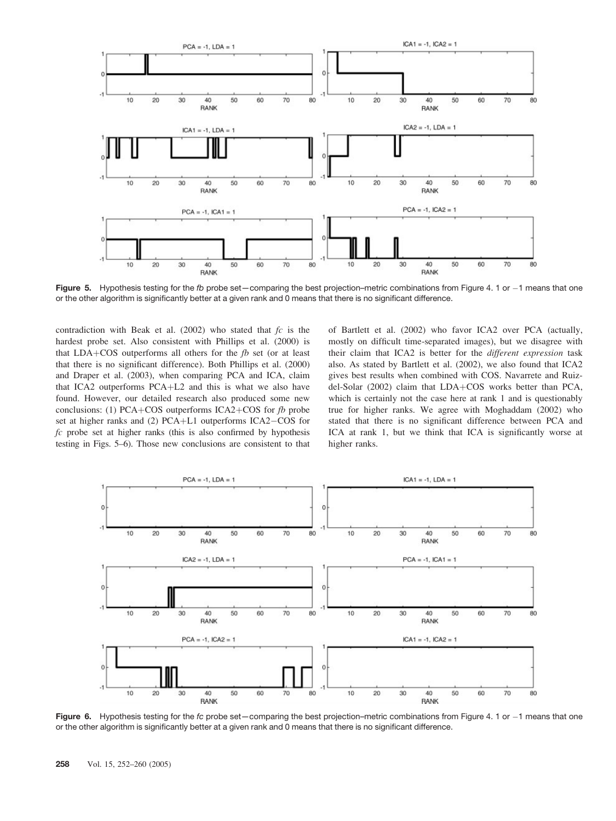

Figure 5. Hypothesis testing for the fb probe set—comparing the best projection–metric combinations from Figure 4. 1 or  $-1$  means that one or the other algorithm is significantly better at a given rank and 0 means that there is no significant difference.

contradiction with Beak et al. (2002) who stated that  $fc$  is the hardest probe set. Also consistent with Phillips et al. (2000) is that  $LDA + COS$  outperforms all others for the fb set (or at least that there is no significant difference). Both Phillips et al. (2000) and Draper et al. (2003), when comparing PCA and ICA, claim that ICA2 outperforms  $PCA+L2$  and this is what we also have found. However, our detailed research also produced some new conclusions: (1) PCA+COS outperforms ICA2+COS for  $fb$  probe set at higher ranks and  $(2)$  PCA+L1 outperforms ICA2–COS for  $fc$  probe set at higher ranks (this is also confirmed by hypothesis testing in Figs. 5–6). Those new conclusions are consistent to that

of Bartlett et al. (2002) who favor ICA2 over PCA (actually, mostly on difficult time-separated images), but we disagree with their claim that ICA2 is better for the different expression task also. As stated by Bartlett et al. (2002), we also found that ICA2 gives best results when combined with COS. Navarrete and Ruizdel-Solar (2002) claim that LDA+COS works better than PCA, which is certainly not the case here at rank 1 and is questionably true for higher ranks. We agree with Moghaddam (2002) who stated that there is no significant difference between PCA and ICA at rank 1, but we think that ICA is significantly worse at higher ranks.



Figure 6. Hypothesis testing for the fc probe set—comparing the best projection–metric combinations from Figure 4. 1 or  $-1$  means that one or the other algorithm is significantly better at a given rank and 0 means that there is no significant difference.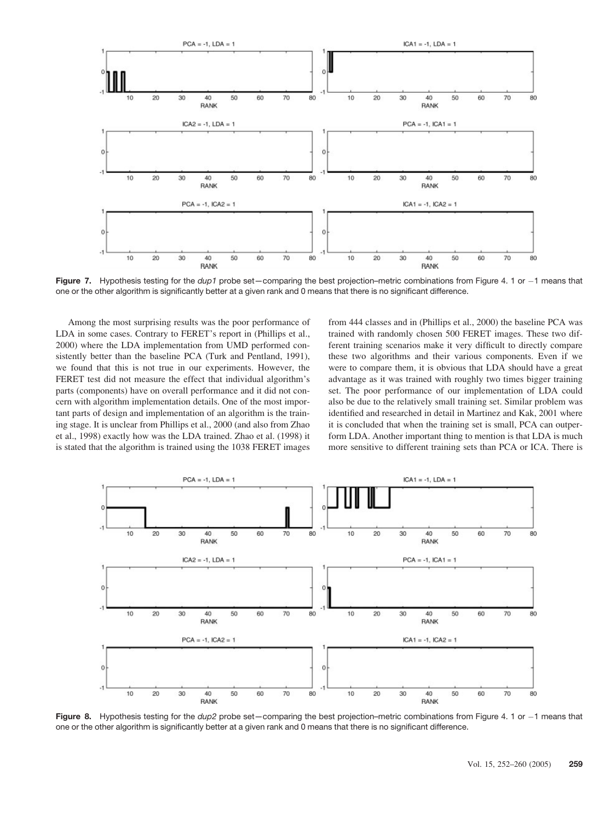

Figure 7. Hypothesis testing for the *dup1* probe set—comparing the best projection–metric combinations from Figure 4. 1 or  $-1$  means that one or the other algorithm is significantly better at a given rank and 0 means that there is no significant difference.

Among the most surprising results was the poor performance of LDA in some cases. Contrary to FERET's report in (Phillips et al., 2000) where the LDA implementation from UMD performed consistently better than the baseline PCA (Turk and Pentland, 1991), we found that this is not true in our experiments. However, the FERET test did not measure the effect that individual algorithm's parts (components) have on overall performance and it did not concern with algorithm implementation details. One of the most important parts of design and implementation of an algorithm is the training stage. It is unclear from Phillips et al., 2000 (and also from Zhao et al., 1998) exactly how was the LDA trained. Zhao et al. (1998) it is stated that the algorithm is trained using the 1038 FERET images from 444 classes and in (Phillips et al., 2000) the baseline PCA was trained with randomly chosen 500 FERET images. These two different training scenarios make it very difficult to directly compare these two algorithms and their various components. Even if we were to compare them, it is obvious that LDA should have a great advantage as it was trained with roughly two times bigger training set. The poor performance of our implementation of LDA could also be due to the relatively small training set. Similar problem was identified and researched in detail in Martinez and Kak, 2001 where it is concluded that when the training set is small, PCA can outperform LDA. Another important thing to mention is that LDA is much more sensitive to different training sets than PCA or ICA. There is



Figure 8. Hypothesis testing for the *dup2* probe set—comparing the best projection–metric combinations from Figure 4. 1 or -1 means that one or the other algorithm is significantly better at a given rank and 0 means that there is no significant difference.